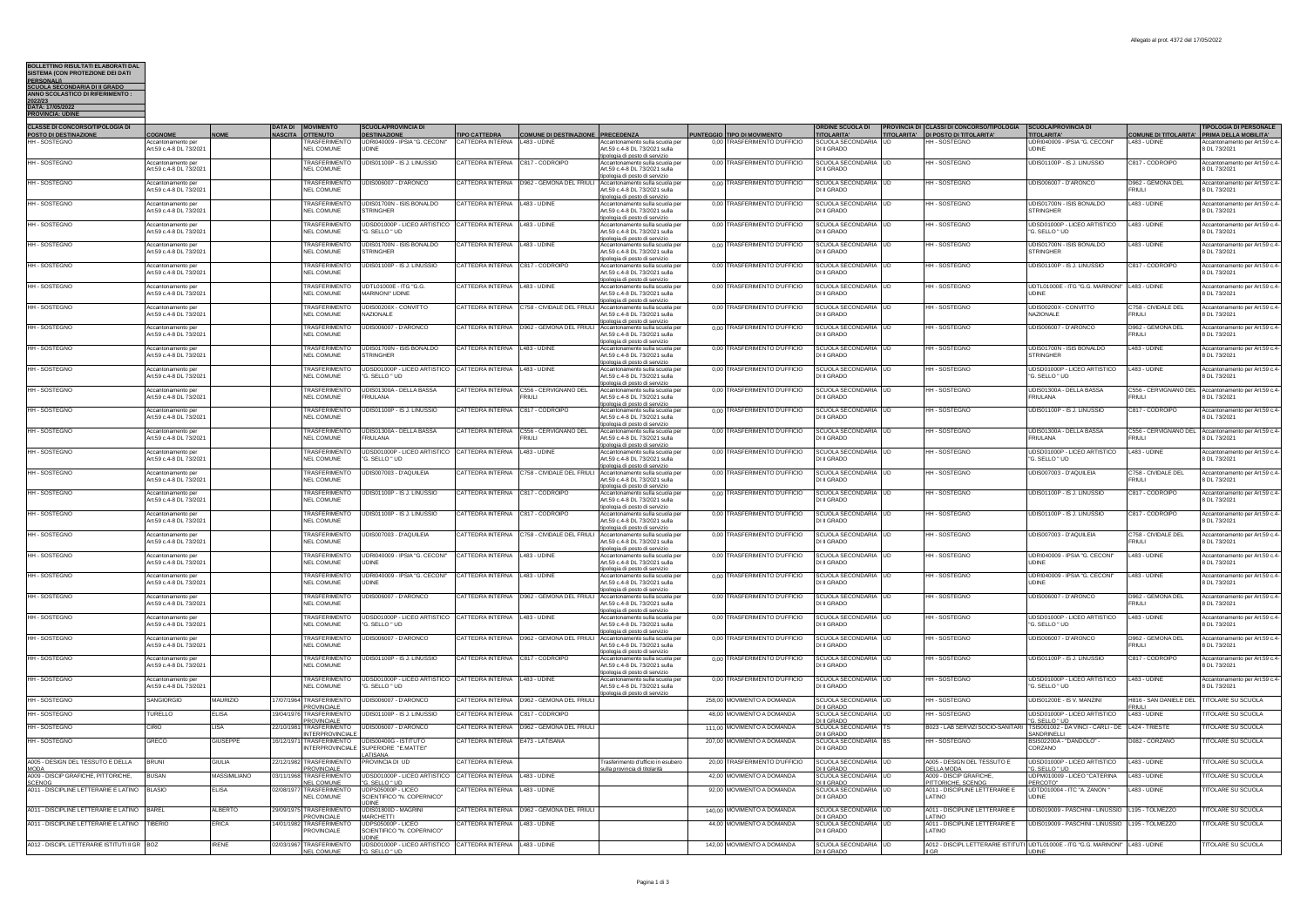## **BOLLETTINO RISULTATI ELABORATI DAL SISTEMA (CON PROTEZIONE DEI DATI PERSONALI) SCUOLA SECONDARIA DI II GRADO ANNO SCOLASTICO DI RIFERIMENTO :**

| 2022123                 |  |
|-------------------------|--|
| DATA: 17/05/2022        |  |
| <b>PROVINCIA: UDINE</b> |  |
|                         |  |

| <b>CLASSE DI CONCORSO/TIPOLOGIA DI</b><br>POSTO DI DESTINAZIONE | <b>OGNOME</b>                                        |                     | <b>DATA DI</b><br><b>NASCITA</b> | OVIMENTO<br><b>OTTENUTO</b>                                        | <b>SCUOLA/PROVINCIA D</b><br><b>DESTINAZIONE</b>                                     | <b>TIPO CATTEDRA</b>    | <b>COMUNE DI DESTINAZIONE PRECEDENZA</b>                |                                                                                                                                 | PUNTEGGIO TIPO DI MOVIMENTO   | <b>ORDINE SCUOLA DI</b><br><b>TITOLARITA'</b>      | <b>PROVINCIA DI CLASSI DI CONCORSO/TIPOLOGIA</b><br>TITOLARITA' DI POSTO DI TITOLARITA' | <b>SCUOLA/PROVINCIA DI</b><br><b>TITOLARITA'</b>      | COMUNE DI TITOLARITA' PRIMA DELLA MOBILITA' | <b>TIPOLOGIA DI PERSONALE</b>                  |
|-----------------------------------------------------------------|------------------------------------------------------|---------------------|----------------------------------|--------------------------------------------------------------------|--------------------------------------------------------------------------------------|-------------------------|---------------------------------------------------------|---------------------------------------------------------------------------------------------------------------------------------|-------------------------------|----------------------------------------------------|-----------------------------------------------------------------------------------------|-------------------------------------------------------|---------------------------------------------|------------------------------------------------|
| HH-SOSTEGNO                                                     | Art 59 c 4-8 DI 73/2021                              |                     |                                  | RASFERIMENTO<br>NEL COMUNE                                         | UDRI040009 - IPSIA "G. CECONI"<br><b>UDINE</b>                                       | <b>CATTEDRA INTERNA</b> | L483 - UDINE                                            | to sulla scuola pe<br>Art 59 c 4-8 DL 73/2021 sulla                                                                             | RASFERIMENTO D'UFFICIO        | SCUOLA SECONDARIA LUD<br>DHI GRADO                 |                                                                                         | <b>JDRI040009 - IPSIA "G. CECONI"</b><br><b>UDINE</b> | L483 - UDINE                                | per Art.59 c.4-<br>8 DI 73/2021                |
| HH-SOSTEGNO                                                     | Accantonamento per<br>rt.59 c.4-8 DL 73/2021         |                     |                                  | <b>TRASFERIMENTO</b><br><b>NEL COMUNE</b>                          | UDIS01100P - IS J. LINUSSIO                                                          | <b>CATTEDRA INTERNA</b> | C817 - CODROIPO                                         | pologia di posto di servizio<br>Accantonamento sulla scuola pe<br>Art.59 c.4-8 DL 73/2021 sulla                                 | 0,00 TRASFERIMENTO D'UFFICIO  | SCUOLA SECONDARIA UD<br>DI II GRADO                | HH - SOSTEGNO                                                                           | JDIS01100P - IS J. LINUSSIO                           | C817 - CODROIPO                             | Accantonamento per Art.59 c.4-<br>DL 73/2021   |
| HH - SOSTEGNO                                                   | Accantonamento pe<br>Art.59 c.4-8 DL 73/2021         |                     |                                  | <b>TRASFERIMENTO</b><br><b>NEL COMUNE</b>                          | UDIS006007 - D'ARONCO                                                                | CATTEDRA INTERNA        | D962 - GEMONA DEL FRIULI Accantonamento sulla scuola pe | oologia di posto di servizio<br>Art.59 c.4-8 DL 73/2021 sulla                                                                   | 0,00 TRASFERIMENTO D'UFFICIO  | SCUOLA SECONDARIA UD<br>DI II GRADO                | HH - SOSTEGNO                                                                           | UDIS006007 - D'ARONCO                                 | D962 - GEMONA DEL<br><b>FRIULI</b>          | Accantonamento per Art.59 c.4-<br>8 DL 73/2021 |
| HH-SOSTEGNO                                                     | ccantonamento per<br>Art.59 c.4-8 DL 73/2021         |                     |                                  | <b>TRASFERIMENTO</b><br><b>NEL COMUNE</b>                          | UDIS01700N - ISIS BONALDO<br><b>STRINGHER</b>                                        | CATTEDRA INTERNA        | 483 - UDINE                                             | pologia di posto di servizio<br>ccantonamento sulla scuola pe<br>Art.59 c.4-8 DL 73/2021 sulla                                  | 0,00 TRASFERIMENTO D'UFFICIO  | SCUOLA SECONDARIA UD<br>DI II GRADO                | <b>IH-SOSTEGNO</b>                                                                      | JDIS01700N - ISIS BONALDO<br>STRINGHER                | 483 - UDINE                                 | ccantonamento per Art.59 c.4-<br>8 DL 73/2021  |
| HH - SOSTEGNO                                                   | Accantonamento per<br>Art.59 c.4-8 DL 73/2021        |                     |                                  | TRASFERIMENTO<br><b>NEL COMUNE</b>                                 | UDSD01000P - LICEO ARTISTICO CATTEDRA INTERNA<br>"G. SELLO " UD                      |                         | 483 - UDINE                                             | pologia di posto di servizio<br>Accantonamento sulla scuola pe<br>Art.59 c.4-8 DL 73/2021 sulla                                 | 0.00 TRASFERIMENTO D'UFFICIO  | SCUOLA SECONDARIA LUD<br>DI II GRADO               | <b>IH-SOSTEGNO</b>                                                                      | UDSD01000P - LICEO ARTISTICO<br>'G. SELLO " UD        | 483 - UDINE                                 | Accantonamento per Art.59 c.4-<br>8 DL 73/2021 |
| HH-SOSTEGNO                                                     | Accantonamento pe<br>Art.59 c.4-8 DL 73/2021         |                     |                                  | <b><i>ERASEERIMENT</i></b><br><b>NEL COMUNE</b>                    | UDIS01700N - ISIS BONALDO<br><b>STRINGHER</b>                                        | CATTEDRA INTERNA        | 483 - UDINE                                             | oologia di posto di servizio<br>sulla scuola p<br>Art 59 c 4-8 DL 73/2021 sulla                                                 | 0.00 TRASFERIMENTO D'UFFICIO  | SCUOLA SECONDARIA LID<br>DI II GRADO               | <b>HH-SOSTEGNO</b>                                                                      | JDIS01700N - ISIS BONALDO<br><b>STRINGHER</b>         | <b>483 - UDINE</b>                          | ccantonamento per Art.59 c.4-<br>8 DL 73/2021  |
| HH-SOSTEGNO                                                     | Accantonamento per<br>Art.59 c.4-8 DL 73/2021        |                     |                                  | <b>TRASFERIMENTO</b><br><b>NEL COMUNE</b>                          | UDIS01100P - IS J. LINUSSIO                                                          | CATTEDRA INTERNA        | C817 - CODROIPO                                         | ipologia di posto di servizio<br>Accantonamento sulla scuola pe<br>Art.59 c.4-8 DL 73/2021 sulla                                | 0.00 TRASFERIMENTO D'UFFICIO  | SCUOLA SECONDARIA UD<br>DI II GRADO                | HH - SOSTEGNO                                                                           | UDIS01100P - IS J. LINUSSIO                           | C817 - CODROIPO                             | Accantonamento per Art.59 c.4-<br>8 DL 73/2021 |
| HH-SOSTEGNO                                                     | Accantonamento per<br>Art.59 c.4-8 DL 73/2021        |                     |                                  | <b>TRASFERIMENTO</b><br><b>NEL COMUNE</b>                          | UDTL01000E - ITG "G.G.<br>MARINONI' UDINE                                            | CATTEDRA INTERNA        | 1483 - UDINE                                            | ipologia di posto di servizio<br>Accantonamento sulla scuola pe<br>Art.59 c.4-8 DL 73/2021 sulla                                | 0.00 TRASFERIMENTO D'UFFICIO  | SCUOLA SECONDARIA LUD<br>DI II GRADO               | HH - SOSTEGNO                                                                           | UDTL01000E - ITG "G.G. MARINONI"<br><b>JDINE</b>      | L483 - UDINE                                | Accantonamento per Art.59 c.4-<br>8 DL 73/2021 |
| HH - SOSTEGNO                                                   | ccantonamento per<br>Art.59 c.4-8 DL 73/2021         |                     |                                  | <b>TRASFERIMENTO</b><br><b>NEL COMUNE</b>                          | UDIS00200X - CONVITTO<br>NAZIONALE                                                   | CATTEDRA INTERNA        | C758 - CIVIDALE DEL FRIULI                              | pologia di posto di servizio<br>Accantonamento sulla scuola pe<br>Art.59 c.4-8 DL 73/2021 sulla                                 | 0.00 TRASFERIMENTO D'UFFICIO  | SCUOLA SECONDARIA UD<br>DI II GRADO                | <b>IH-SOSTEGNO</b>                                                                      | JDIS00200X - CONVITTO<br>NAZIONALE                    | C758 - CIVIDALE DEL<br><b>FRIULI</b>        | Accantonamento per Art.59 c.4-<br>8 DL 73/2021 |
| HH-SOSTEGNO                                                     | <b>Accantonamento per</b><br>Art.59 c.4-8 DL 73/2021 |                     |                                  | <b><i>ERASEERIMENTO</i></b><br><b>NEL COMUNE</b>                   | UDIS006007 - D'ARONCO                                                                | CATTEDRA INTERNA        | D962 - GEMONA DEL FRIULI                                | ologia di posto di servizio<br>Accantonamento sulla scuola pe<br>Art.59 c.4-8 DL 73/2021 sulla<br>ipologia di posto di servizio | 0.00 TRASFERIMENTO D'UFFICIO  | SCUOLA SECONDARIA UD<br>DI II GRADO                | <b>IH-SOSTEGNO</b>                                                                      | JDIS006007 - D'ARONCO                                 | D962 - GEMONA DEL<br><b>FRIULI</b>          | Accantonamento per Art.59 c.4-<br>8 DL 73/2021 |
| HH - SOSTEGNO                                                   | Accantonamento pe<br>Art.59 c.4-8 DL 73/2021         |                     |                                  | <b>TRASFERIMENTO</b><br><b>NEL COMUNE</b>                          | UDIS01700N - ISIS BONALDO<br><b>STRINGHER</b>                                        | CATTEDRA INTERNA        | L483 - UDINE                                            | Accantonamento sulla scuola pi<br>Art.59 c.4-8 DL 73/2021 sulla                                                                 | 0.00 TRASFERIMENTO D'UFFICIO  | SCUOLA SECONDARIA UD<br>DI II GRADO                | <b>HH-SOSTEGNO</b>                                                                      | UDIS01700N - ISIS BONALDO<br><b>STRINGHER</b>         | L483 - UDINE                                | Accantonamento per Art.59 c.4-<br>8 DL 73/2021 |
| HH - SOSTEGNO                                                   | Accantonamento per<br>rt.59 c.4-8 DL 73/2021         |                     |                                  | TRASFERIMENTO<br><b>IEL COMUNE</b>                                 | UDSD01000P - LICEO ARTISTICO CATTEDRA INTERNA<br>"G. SELLO " UD                      |                         | L483 - UDINE                                            | pologia di posto di servizio<br>Accantonamento sulla scuola pe<br>Art.59 c.4-8 DL 73/2021 sulla                                 | 0.00 TRASFERIMENTO D'UFFICIO  | SCUOLA SECONDARIA UD<br>DI II GRADO                | <b>HH-SOSTEGNO</b>                                                                      | UDSD01000P - LICEO ARTISTICO<br>G. SELLO " UD         | L483 - UDINE                                | Accantonamento per Art.59 c.4-<br>DL 73/2021   |
| HH - SOSTEGNO                                                   | Accantonamento per<br>Art.59 c.4-8 DL 73/2021        |                     |                                  | TRASFERIMENTO<br><b>NEL COMUNE</b>                                 | UDIS01300A - DELLA BASSA<br><b>FRIULANA</b>                                          | CATTEDRA INTERNA        | C556 - CERVIGNANO DEL<br><b>RIULI</b>                   | ologia di posto di servizio<br>Accantonamento sulla scuola pe<br>Art.59 c.4-8 DL 73/2021 sulla                                  | 0.00 TRASFERIMENTO D'UFFICIO  | SCUOLA SECONDARIA UD<br>DI II GRADO                | HH - SOSTEGNO                                                                           | UDIS01300A - DELLA BASSA<br>FRIULANA                  | C556 - CERVIGNANO DEL<br>FRIULI             | Accantonamento per Art.59 c.4-<br>8 DL 73/2021 |
| HH-SOSTEGNO                                                     | Accantonamento per<br>Art.59 c.4-8 DL 73/2021        |                     |                                  | TRASFERIMENTO<br>NEL COMUNE                                        | UDIS01100P - IS J. LINUSSIO                                                          | <b>CATTEDRA INTERNA</b> | C817 - CODROIPO                                         | pologia di posto di servizio<br>ccantonamento sulla scuola pe<br>Art 59 c 4-8 DL 73/2021 sulla                                  | 0.00 TRASFERIMENTO D'UFFICIO  | SCUOLA SECONDARIA UD<br>DI II GRADO                | <b>IH-SOSTEGNO</b>                                                                      | JDIS01100P - IS J. LINUSSIO                           | C817 - CODROIPO                             | Accantonamento per Art.59 c.4-<br>8 DI 73/2021 |
| HH-SOSTEGNO                                                     | Accantonamento per<br>Art.59 c.4-8 DL 73/202         |                     |                                  | <b><i>FRASFERIMENTO</i></b><br><b>NEL COMUNE</b>                   | UDIS01300A - DELLA BASSA<br><b>FRILII ANA</b>                                        | CATTEDRA INTERNA        | C556 - CERVIGNANO DEL<br><b>RIULI</b>                   | ologia di posto di servizio<br>ccantonamento sulla scuola pe<br>Art.59 c.4-8 DL 73/2021 sulla                                   | 0.00 TRASFERIMENTO D'UFFICIO  | SCUOLA SECONDARIA UD<br>DI II GRADO                | <b>IH - SOSTEGNO</b>                                                                    | JDIS01300A - DELLA BASSA<br>RIU ANA                   | C556 - CERVIGNANO DEL<br><b>FRIULI</b>      | Accantonamento per Art.59 c.4-<br>8 DL 73/2021 |
| HH - SOSTEGNO                                                   | Accantonamento pe<br>Art.59 c.4-8 DL 73/2021         |                     |                                  | TRASFERIMENTO<br><b>NEL COMUNE</b>                                 | UDSD01000P - LICEO ARTISTICO CATTEDRA INTERNA<br>"G. SELLO " UD                      |                         | 483 - UDINE                                             | pologia di posto di servizio<br>ccantonamento sulla scuola pe<br>Art 59 c 4-8 DL 73/2021 sulla<br>pologia di posto di servizio  | 0,00 TRASFERIMENTO D'UFFICIO  | SCUOLA SECONDARIA UD<br>DI II GRADO                | HH - SOSTEGNO                                                                           | JDSD01000P - LICEO ARTISTICO<br>G. SELLO " UD         | L483 - UDINE                                | Accantonamento per Art.59 c.4-<br>8 DL 73/2021 |
| <b>HH-SOSTEGNO</b>                                              | Accantonamento per<br>rt.59 c.4-8 DL 73/2021         |                     |                                  | TRASFERIMENTO<br><b>NEL COMUNE</b>                                 | UDIS007003 - D'AQUILEIA                                                              | <b>CATTEDRA INTERNA</b> |                                                         | C758 - CIVIDALE DEL FRIULI Accantonamento sulla scuola per<br>Art.59 c.4-8 DL 73/2021 sulla<br>pologia di posto di servizio     | 0.00 TRASFERIMENTO D'UFFICIO  | SCUOLA SECONDARIA UD<br>DI II GRADO                | <b>IH-SOSTEGNO</b>                                                                      | UDIS007003 - D'AQUILEIA                               | C758 - CIVIDALE DEL<br><b>FRIULI</b>        | Accantonamento per Art.59 c.4-<br>B DL 73/2021 |
| HH - SOSTEGNO                                                   | Accantonamento pe<br>Art.59 c.4-8 DL 73/2021         |                     |                                  | <b>TRASFERIMENTO</b><br>NEL COMUNE                                 | UDIS01100P - IS J. LINUSSIO                                                          | CATTEDRA INTERNA        | C817 - CODROIPO                                         | Accantonamento sulla scuola pe<br>Art 59 c 4-8 DI 73/2021 sulla<br>pologia di posto di servizio                                 | 0,00 TRASFERIMENTO D'UFFICIO  | SCUOLA SECONDARIA UD<br>DI II GRADO                | HH - SOSTEGNO                                                                           | UDIS01100P - IS J. LINUSSIO                           | C817 - CODROIPO                             | Accantonamento per Art.59 c.4-<br>8 DI 73/2021 |
| HH-SOSTEGNO                                                     | ccantonamento per<br>Art.59 c.4-8 DL 73/2021         |                     |                                  | <b><i>TRASFERIMENTO</i></b><br><b>NEL COMUNE</b>                   | UDIS01100P - IS J. LINUSSIO                                                          | CATTEDRA INTERNA        | C817 - CODROIPO                                         | ccantonamento sulla scuola pe<br>Art.59 c.4-8 DL 73/2021 sulla<br>pologia di posto di servizio                                  | 0.00 TRASFERIMENTO D'UFFICIO  | SCUOLA SECONDARIA<br>DI II GRADO                   | <b>IH-SOSTEGNO</b>                                                                      | JDIS01100P - IS J. LINUSSIO                           | C817 - CODROIPO                             | Accantonamento per Art.59 c.4-<br>8 DL 73/2021 |
| HH - SOSTEGNO                                                   | Accantonamento per<br>Art.59 c.4-8 DL 73/2021        |                     |                                  | TRASFERIMENTO<br><b>NEL COMUNE</b>                                 | LIDIS007003 - D'AQUILEIA                                                             | CATTEDRA INTERNA        |                                                         | C758 - CIVIDALE DEL ERIULI Accantonamento sulla scuola per<br>Art.59 c.4-8 DL 73/2021 sulla<br>pologia di posto di servizio     | 0.00 TRASFERIMENTO D'UFFICIO  | SCUOLA SECONDARIA LUD<br>DI II GRADO               | HH-SOSTEGNO                                                                             | JDIS007003 - D'AQUILEIA                               | C758 - CIVIDALE DEL<br>FRIULI               | Accantonamento per Art.59 c.4-<br>8 DL 73/2021 |
| HH-SOSTEGNO                                                     | Accantonamento ne<br>Art.59 c.4-8 DL 73/202          |                     |                                  | TRASEERIMENTO<br><b>NEL COMUNE</b>                                 | UDRI040009 - IPSIA 'G CECONI'<br><b>UDINE</b>                                        | CATTEDRA INTERNA        | 1483 - UDINE                                            | o sulla scuola pe<br>Art.59 c.4-8 DL 73/2021 sulla<br>pologia di posto di servizio                                              | 0,00 TRASFERMENTO D'UFFICIO   | SCUOLA SECONDARIA LUD<br>DI II GRADO               | <b>HH-SOSTEGNO</b>                                                                      | UDRI040009 - IPSIA "G. CECONI"<br><b>JDINF</b>        | L483 - UDINE                                | Accantonamento per Art.59 c.4-<br>8 DL 73/2021 |
| HH - SOSTEGNO                                                   | Accantonamento per<br>rt.59 c.4-8 DL 73/2021         |                     |                                  | TRASFERIMENTO<br><b>VEL COMUNE</b>                                 | UDRI040009 - IPSIA "G. CECONI"                                                       | CATTEDRA INTERNA        | L483 - UDINE                                            | Accantonamento sulla scuola pe<br>irt.59 c.4-8 DL 73/2021 sulla<br>ologia di posto di servizio                                  | 0.00 TRASFERIMENTO D'UFFICIO  | SCUOLA SECONDARIA UD<br>DI II GRADO                | <b>HH-SOSTEGNO</b>                                                                      | UDRI040009 - IPSIA "G. CECONI"<br><b>JDINE</b>        | L483 - UDINE                                | Accantonamento per Art.59 c.4-<br>B DL 73/2021 |
| HH - SOSTEGNO                                                   | Accantonamento ne<br>Art.59 c.4-8 DL 73/2021         |                     |                                  | <b>TRASFERIMENTO</b><br><b>NEL COMUNE</b>                          | UDIS006007 - D'ARONCO                                                                | CATTEDRA INTERNA        | D962 - GEMONA DEL FRIULI Accantona                      | to sulla scuola pe<br>Art.59 c.4-8 DL 73/2021 sulla<br>pologia di posto di servizio                                             | 0,00 TRASFERIMENTO D'UFFICIO  | SCUOLA SECONDARIA UD<br>DI II GRADO                | <b>IH-SOSTEGNO</b>                                                                      | JDIS006007 - D'ARONCO                                 | D962 - GEMONA DEL<br><b>FRIULI</b>          | Accantonamento per Art.59 c.4-<br>8 DL 73/2021 |
| HH-SOSTEGNO                                                     | Accantonamento per<br>Art.59 c.4-8 DL 73/2021        |                     |                                  | TRASFERIMENTO<br><b>NEL COMUNE</b>                                 | UDSD01000P - LICEO ARTISTICO CATTEDRA INTERNA<br>"G. SELLO " UD                      |                         | 483 - UDINE                                             | ccantonamento sulla scuola pe<br>Art.59 c.4-8 DL 73/2021 sulla<br>ologia di posto di servizio                                   | 0.00 TRASFERIMENTO D'UFFICIO  | SCUOLA SECONDARIA UD<br>DI II GRADO                | <b>IH-SOSTEGNO</b>                                                                      | JDSD01000P - LICEO ARTISTICO<br>G. SELLO " UD         | L483 - UDINE                                | Accantonamento per Art.59 c.4-<br>8 DL 73/2021 |
| HH - SOSTEGNO                                                   | Accantonamento per<br>Art.59 c.4-8 DL 73/2021        |                     |                                  | TRASFERIMENTO<br><b>NEL COMUNE</b>                                 | UDIS006007 - D'ARONCO                                                                | CATTEDRA INTERNA        |                                                         | 0962 - GEMONA DEL FRIULI Accantonamento sulla scuola pe<br>Art.59 c.4-8 DL 73/2021 sulla<br>pologia di posto di servizio        | 0.00 TRASFERIMENTO D'UFFICIO  | SCUOLA SECONDARIA LUD<br>DI II GRADO               | <b>HH-SOSTEGNO</b>                                                                      | JDIS006007 - D'ARONCO                                 | D962 - GEMONA DEL<br><b>FRIULI</b>          | Accantonamento per Art.59 c.4-<br>8 DL 73/2021 |
| HH-SOSTEGNO                                                     | Accantonamento per<br>Art.59 c.4-8 DL 73/202         |                     |                                  | TRASFERIMENTO<br><b>NEL COMUNE</b>                                 | UDIS01100P - IS J. LINUSSIO                                                          | <b>CATTEDRA INTERNA</b> | C817 - CODROIPO                                         | Accantonamento sulla scuola p<br>Art.59 c.4-8 DL 73/2021 sulla<br>pologia di posto di servizio                                  | 0,00 TRASFERIMENTO D'UFFICIO  | SCUOLA SECONDARIA UD<br>DI II GRADO                | <b>HH-SOSTEGNO</b>                                                                      | JDIS01100P - IS J. LINUSSIO                           | C817 - CODROIPO                             | Accantonamento per Art.59 c.4-<br>8 DL 73/2021 |
| HH - SOSTEGNO                                                   | Accantonamento per<br>Art.59 c.4-8 DL 73/2021        |                     |                                  | <b>TRASFERIMENTO</b><br><b>NEL COMUNE</b>                          | UDSD01000P - LICEO ARTISTICO CATTEDRA INTERNA<br>"G. SELLO " UD                      |                         | L483 - UDINE                                            | Accantonamento sulla scuola pe<br>Art.59 c.4-8 DL 73/2021 sulla<br>logia di posto di servizi                                    | 0.00 TRASFERIMENTO D'UFFICIO  | SCUOLA SECONDARIA UD<br>DI II GRADO                | <b>HH-SOSTEGNO</b>                                                                      | UDSD01000P - LICEO ARTISTICO<br>G. SELLO " UD         | L483 - UDINE                                | Accantonamento per Art.59 c.4-<br>B DL 73/2021 |
| HH-SOSTEGNO                                                     | <b>SANGIORGIC</b>                                    | <b>MAURIZIO</b>     |                                  | 7/07/1964 TRASFERIMENTO<br><b>PROVINCIALE</b>                      | UDIS006007 - D'ARONCO                                                                | CATTEDRA INTERNA        | 0962 - GEMONA DEL FRIULI                                |                                                                                                                                 | 258,00 MOVIMENTO A DOMANDA    | SCUOLA SECONDARIA UD<br>DI II GRADO                | <b>HH-SOSTEGNO</b>                                                                      | JDIS01200E - IS V. MANZINI                            | H816 - SAN DANIELE DEL<br><b>FRIULI</b>     | <b>ITOLARE SU SCUOLA</b>                       |
| HH - SOSTEGNO                                                   | TURELLO                                              | <b>ELISA</b>        |                                  | 19/04/1976 TRASFERIMENTO<br><b>PROVINCIALE</b>                     | UDIS01100P - IS J. LINUSSIO                                                          | CATTEDRA INTERNA        | 2817 - CODROIPO                                         |                                                                                                                                 | 48.00 MOVIMENTO A DOMANDA     | SCUOLA SECONDARIA UD<br><b>DI II GRADO</b>         | HH - SOSTEGNO                                                                           | JDSD01000P - LICEO ARTISTICO<br>G. SELLO " UD         | L483 - UDINE                                | <b>ITOLARE SU SCUOLA</b>                       |
| HH-SOSTEGNO                                                     | CIRIO                                                | LISA                | 22/10/1981                       | TRASFERIMENTO<br>NTERPROVINCIALI                                   | UDIS006007 - D'ARONCO                                                                | CATTEDRA INTERNA        | 962 - GEMONA DEL FRIULI                                 |                                                                                                                                 | 111,00 MOVIMENTO A DOMANDA    | SCUOLA SECONDARIA TS<br>DI II GRADO                | B023 - LAB SERVIZI SOCIO-SANITARI                                                       | SIS001002 - DA VINCI - CARLI - DE<br>SANDRINELLI      | L424 - TRIESTE                              | <b>ITOLARE SU SCUOLA</b>                       |
| HH-SOSTEGNO                                                     | GRECO                                                | <b>GIUSEPPE</b>     | 16/12/1971                       | TRASFERIMENTO                                                      | UDIS00400G - ISTITUTO<br>NTERPROVINCIALE SUPERIORE "E.MATTEI<br>LATISANA             | CATTEDRA INTERNA        | E473 - LATISANA                                         |                                                                                                                                 | 207.00 MOVIMENTO A DOMANDA    | SCUOLA SECONDARIA BS<br>DI II GRADO                | <b>HH-SOSTEGNO</b>                                                                      | 3SIS02200A - "DANDOLO"<br>CORZANO                     | D082 - CORZANO                              | <b>ITOLARE SU SCUOLA</b>                       |
| A005 - DESIGN DEL TESSUTO E DELLA<br>MODA                       | <b>BRUNI</b>                                         | <b>GIULIA</b>       | 22/12/1982                       | <b>TRASFERIMENTO</b><br><b>PROVINCIALE</b>                         | PROVINCIA DI UD                                                                      | CATTEDRA INTERNA        |                                                         | rasferimento d'ufficio in esuben<br>ulla provincia di titolarità                                                                | 20,00 TRASFERIMENTO D'UFFICIO | SCUOLA SECONDARIA UD<br><b>DI II GRADO</b>         | 4005 - DESIGN DEL TESSUTO E<br><b>DELLA MODA</b>                                        | JDSD01000P - LICEO ARTISTICO<br>G. SELLO " UD         | 483 - UDIN                                  | <b>ITOLARE SU SCUOLA</b>                       |
| A009 - DISCIP GRAFICHE, PITTORICHE,<br>SCENOG                   | <b>BUSAN</b>                                         | <b>MASSIMILIANO</b> |                                  | 03/11/1968 TRASFERIMENTO<br><b>NEL COMUNE</b>                      | UDSD01000P - LICEO ARTISTICO CATTEDRA INTERNA<br>"G. SELLO " UD                      |                         | 483 - UDINE                                             |                                                                                                                                 | 42.00 MOVIMENTO A DOMANDA     | SCUOLA SECONDARIA LUD<br><b>DI II GRADO</b>        | A009 - DISCIP GRAFICHE<br><b>ITTORICHE, SCENOG</b>                                      | UDPM010009 - LICEO "CATERINA<br><b>ERCOTO</b>         | L483 - UDINE                                | <b>ITOLARE SU SCUOLA</b>                       |
| A011 - DISCIPLINE LETTERARIE E LATINO BLASIO                    |                                                      | <b>ELISA</b>        | 2/08/197                         | <b>TRASFERIMENTO</b><br><b>NEL COMUNE</b>                          | UDPS05000P - LICEC<br>SCIENTIFICO "N. COPERNICO"<br>DINF                             | CATTEDRA INTERNA        | 483 - UDINE                                             |                                                                                                                                 | 92,00 MOVIMENTO A DOMANDA     | SCUOLA SECONDARIA UD<br>DI II GRADO                | 4011 - DISCIPLINE LETTERARIE E<br><b>ATINO</b>                                          | ITC 'A. ZANON<br>JDTD010004-<br><b>JDINE</b>          | 483 - UDINE                                 | <b>ITOLARE SU SCUOLA</b>                       |
| A011 - DISCIPLINE LETTERARIE E LATINO BAREL                     |                                                      | AI RERTO            |                                  | 29/09/1975 TRASFERIMENTO                                           | LIDIS01800D - MAGRINI                                                                | CATTEDRA INTERNA        | <b>2962 - GEMONA DEL FRIULI</b>                         |                                                                                                                                 | 140,00 MOVIMENTO A DOMANDA    | SCUOLA SECONDARIA UD                               | A011 - DISCIPLINE LETTERARIE E                                                          | UDIS019009 - PASCHINI - LINUSSIO                      | L195 - TOLMEZZO                             | <b>ITOLARE SU SCUOLA</b>                       |
| A011 - DISCIPLINE LETTERARIE E LATINO                           | TIBERIO                                              | ERICA               |                                  | <b>PROVINCIALE</b><br>4/01/1982 TRASFERIMENTO<br><b>ROVINCIALE</b> | <b>MARCHETTI</b><br>UDPS05000P - LICEO<br>SCIENTIFICO "N. COPERNICO"<br><b>UDINE</b> | CATTEDRA INTERNA        | 483 - UDINE                                             |                                                                                                                                 | 44,00 MOVIMENTO A DOMANDA     | DI II GRADO<br>SCUOLA SECONDARIA UD<br>DI II GRADO | <b>ATINO</b><br>A011 - DISCIPLINE LETTERARIE E<br>ATINO                                 | JDIS019009 - PASCHINI - LINUSSIO                      | L195 - TOLMEZZO                             | <b>ITOLARE SU SCUOLA</b>                       |
| A012 - DISCIPL LETTERARIE ISTITUTI II GR BOZ                    |                                                      | <b>IRFNF</b>        | 12/03/1967                       | <b>TRASFERIMENTO</b><br><b>NEL COMUNE</b>                          | UDSD01000P - LICEO ARTISTICO CATTEDRA INTERNA<br>"G. SELLO " UD                      |                         | 483 - UDINE                                             |                                                                                                                                 | 142.00 MOVIMENTO A DOMANDA    | SCUOLA SECONDARIA UD<br>DI II GRADO                | A012 - DISCIPLI ETTERARIE ISTITUTI UDTI 01000E - ITG "G G_MARINONI"                     |                                                       | 1483 - UDINE                                | <b>TITOLARE SU SCUOLA</b>                      |
|                                                                 |                                                      |                     |                                  |                                                                    |                                                                                      |                         |                                                         |                                                                                                                                 |                               |                                                    |                                                                                         |                                                       |                                             |                                                |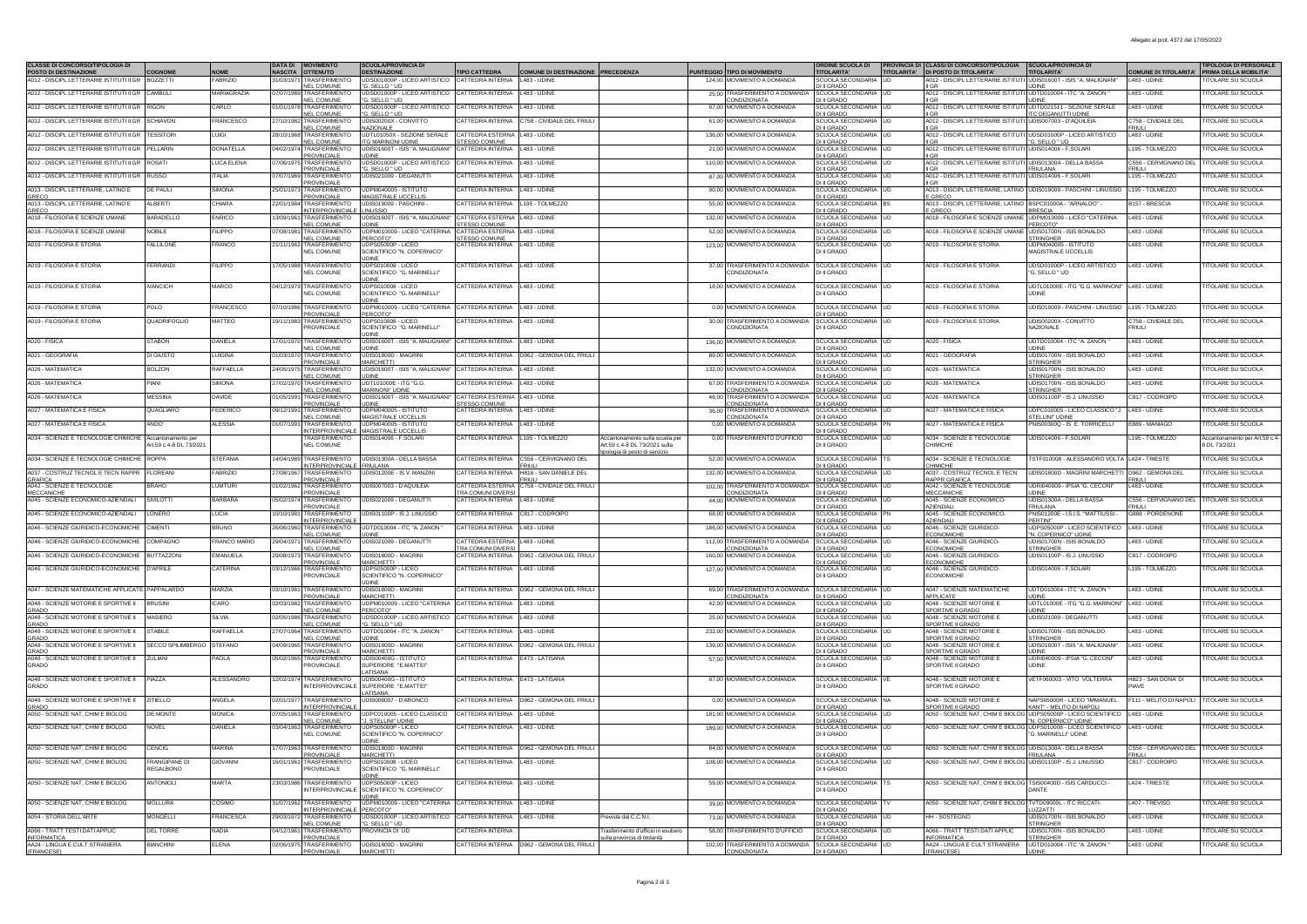| <b>CLASSE DI CONCORSO/TIPOLOGIA DI</b>                                    |                                               |                         |            | <b>DATA DI   MOVIMENTO</b>                              | <b>SCUOLA/PROVINCIA DI</b>                              |                                                |                                                |                                                                   |                                                                     | ORDINE SCUOLA DI PROVINCIA DI CLASSI DI CONCORSO/TIPOLOGIA |                                                                                                            | <b>SCUOLA/PROVINCIA DI</b>                           |                                            | <b>TIPOLOGIA DI PERSONALE</b>              |
|---------------------------------------------------------------------------|-----------------------------------------------|-------------------------|------------|---------------------------------------------------------|---------------------------------------------------------|------------------------------------------------|------------------------------------------------|-------------------------------------------------------------------|---------------------------------------------------------------------|------------------------------------------------------------|------------------------------------------------------------------------------------------------------------|------------------------------------------------------|--------------------------------------------|--------------------------------------------|
| POSTO DI DESTINAZIONE<br>A012 - DISCIPL LETTERARIE ISTITUTI II GR BOZZETT | COGNOME                                       | <b>NOME</b><br>FABRIZIO | 31/03/19   | NASCITA OTTENUTO<br><b><i>RASFERIMENTO</i></b>          | <b>DESTINAZIONE</b><br>JDSD01000P - LICEO ARTISTICO     | <b>TIPO CATTEDRA</b><br>CATTEDRA INTERNA       | COMUNE DI DESTINAZIONE PRECEDENZ<br>483 - UDIN |                                                                   | UNTEGGIO TIPO DI MOVIMENTO<br>124,00 MOVIMENTO A DOMANDA            | TITOLARITA'<br>SCUOLA SECONDARIA                           | TITOLARITA' DI POSTO DI TITOLARITA'<br>A012 - DISCIPL LETTERARIE ISTITUTI UDIS01600T - ISIS "A. MALIGNANI" | <b>TITOLARITA'</b>                                   | <b>COMUNE DI TITOLARITA'</b><br>483 - UDIN | PRIMA DELLA MOBILITA'<br>TOLARE SU SCUOLA  |
|                                                                           |                                               |                         |            | <b>NEL COMUNE</b>                                       | "G. SELLO " UD                                          |                                                |                                                |                                                                   |                                                                     | <b>DI II GRADO</b>                                         | II GR                                                                                                      | <b>UDINE</b>                                         |                                            |                                            |
| A012 - DISCIPL LETTERARIE ISTITUTI II GR                                  | CAMBULI                                       | <b>MARIAGRAZIA</b>      | 07/07/1989 | <b><i>FRASFERIMENTO</i></b><br><b>NEL COMUNE</b>        | JDSD01000P - LICEO ARTISTICO<br>G. SELLO " UD           | CATTEDRA INTERNA                               | 483 - UDINE                                    |                                                                   | 25.00 TRASFERIMENTO A DOMAND<br>CONDIZIONATA                        | <b>CUOLA SECONDARIA</b><br>I II GRADO                      | A012 - DISCIPL LETTERARIE ISTITUTI UDTD010004 - ITC "A. ZANON                                              | <b>IDINF</b>                                         | 483 - UDIN                                 | <b>TOLARE SU SCUOLA</b>                    |
| A012 - DISCIPL LETTERARIE ISTITUTI II GR                                  | <b>RIGON</b>                                  | CARLO                   |            | <b>TRASFERIMENTC</b><br><b>NEL COMUNE</b>               | DSD01000P - LICEO ARTISTICO<br>'G. SELLO " UD           | CATTEDRA INTERNA                               | 483 - UDINE                                    |                                                                   | 97.00 MOVIMENTO A DOMAND.                                           | <b>CUOLA SECONDAR</b><br><b>DI II GRADO</b>                | A012 - DISCIPL LETTERARIE ISTITUTI<br><b>IGR</b>                                                           | UDTD021511 - SEZIONE SERALI<br>ITC DEGANUTTI UDINE   | 483 - UDIN                                 | <b>ITOLARE SU SCUOLA</b>                   |
| A012 - DISCIPL LETTERARIE ISTITUTI II GR                                  | <b>SCHIAVON</b>                               | <b>FRANCESCO</b>        |            | 27/10/1982 TRASFERIMENTO<br><b>NEL COMUNE</b>           | UDIS00200X - CONVITTO<br>NAZIONALE                      | CATTEDRA INTERNA                               | 758 - CIVIDALE DEL FRIUL                       |                                                                   | 61.00 MOVIMENTO A DOMANDA                                           | SCUOLA SECONDARIA<br>I II GRADO                            | A012 - DISCIPL LETTERARIE ISTITUTI UDIS007003 - D'AQUILEIA                                                 |                                                      | C758 - CIVIDALE DEL                        | <b>ITOLARE SU SCUOLA</b>                   |
| A012 - DISCIPLI ETTERARIE ISTITUTI II GR                                  | <b>TESSITOR</b>                               | LUGI                    |            | 28/10/1968 TRASFERIMENTO                                | UDTL01050X - SEZIONE SERALE                             | CATTEDRA ESTERNA                               | 483 - UDINE                                    |                                                                   | 136.00 MOVIMENTO A DOMANDA                                          | SCUOLA SECONDARIA LUD                                      | A012 - DISCIPL LETTERARIE ISTITUTI UDSD01000P - LICEO ARTISTICO                                            |                                                      | 483 - UDINE                                | <b>TOLARE SU SCUOLA</b>                    |
| A012 - DISCIPLI ETTERARIE ISTITUTULGR PELLARIN                            |                                               | <b>DONATELLA</b>        |            | <b>NEL COMUNE</b><br>04/02/1974 TRASFERIMENTO           | TG MARINONI UDINE<br>UDIS01600T - ISIS "A. MALIGNANI    | <b>TESSO COMUNE</b><br>CATTEDRA INTERNA        | 483 - UDINE                                    |                                                                   | 21,00 MOVIMENTO A DOMANDA                                           | <b>DI II GRADO</b><br>SCUOLA SECONDARIA                    | A012 - DISCIPLI ETTERARIE ISTITUTI UDIS014006 - E SOLAR                                                    | "G. SELLO " UD                                       | 195 - TOLMEZZO                             | <b>TOLARE SU SCUOLA</b>                    |
| A012 - DISCIPL LETTERARIE ISTITUTI II GR                                  | ROSATI                                        | <b>UCA ELENA</b>        |            | <b>PROVINCIALE</b><br>07/06/1975 TRASFERIMENTO          | UDINE<br>UDSD01000P - LICEO ARTISTICO                   | CATTEDRA INTERNA                               | 483 - UDINE                                    |                                                                   | 110,00 MOVIMENTO A DOMANDA                                          | I II GRADO<br>CUOLA SECONDARIA                             | II GR<br>A012 - DISCIPL LETTERARIE ISTITUTI UDIS01300A - DELLA BASSA                                       |                                                      | C556 - CERVIGNANO DEL                      | <b>ITOLARE SU SCUOLA</b>                   |
| A012 - DISCIPL LETTERARIE ISTITUTI II GR                                  | <b>RUSSO</b>                                  | TALIA                   | 07/07/19   | <b>PROVINCIALE</b><br><b><i>FRASFERIMENTO</i></b>       | "G. SELLO " UD<br>JDIS021009 - DEGANUTT                 | CATTEDRA INTERNA                               | 483 - UDINE                                    |                                                                   | 87.00 MOVIMENTO A DOMANDA                                           | <b>DI II GRADO</b><br><b>SCUOLA SECONDARIA</b>             | <b>II GR</b><br>A012 - DISCIPL LETTERARIE ISTITUTI                                                         | <b>FRIULANA</b><br><b>UDIS014006 - F.SOLAR</b>       | FRIULI<br>195 - TOLMEZZO                   | <b>TOLARE SU SCUOLA</b>                    |
|                                                                           |                                               |                         |            | <b>PROVINCIALE</b>                                      |                                                         |                                                |                                                |                                                                   |                                                                     | <b>DI II GRADO</b>                                         | II GR                                                                                                      |                                                      |                                            |                                            |
| A013 - DISCIPL LETTERARIE, LATINO E                                       | DE PAUL                                       | SIMONA                  | 25/01/19   | <b><i>FRASFERIMENTO</i></b><br>PROVINCIALE              | UDPM040005 - ISTITUTO<br>MAGISTRALE UCCELLIS            | <b>ATTEDRA INTERNA</b>                         | 483 - UDINE                                    |                                                                   | 90,00 MOVIMENTO A DOMANDA                                           | <b>SCUOLA SECONDA</b><br><b>DI II GRADO</b>                | A013 - DISCIPL LETTERARIE, LATINO<br><b>E GRECC</b>                                                        | UDIS019009 - PASCHINI - LINUSSIO                     | 195 - TOLMEZZ                              | <b>TOLARE SU SCUOL</b>                     |
| GRECO<br>A013 - DISCIPL LETTERARIE, LATINO E<br>GRECO                     | AI RERT                                       | CHIARA                  |            | <b><i>RASEERIMENTO</i></b><br>INTERPROVINCIALE LINUSSIO | UDIS019009 - PASCHINI                                   | <b>ATTEDRA INTERNA</b>                         | 195 - TOLMEZZO                                 |                                                                   | 55,00 MOVIMENTO A DOMANDA                                           | <b>SCUOLA SECONDAR</b><br><b>DI II GRADO</b>               | A013 - DISCIPL LETTERARIE, LATINO BSPC01000A<br>E GRECO                                                    | "ARNALDO<br><b>BRESCIA</b>                           | 3157 - BRESCL                              | <b>ITOLARE SU SCUOLA</b>                   |
| A018 - FILOSOFIA E SCIENZE UMANE                                          | <b>BARADELLO</b>                              | <b>ENRICO</b>           |            |                                                         | 13/09/1961 TRASFERIMENTO UDIS01600T - ISIS 'A MALIGNANI | CATTEDRA ESTERNA                               | 483 - UDINE                                    |                                                                   | 132.00 MOVIMENTO A DOMANDA                                          | SCUOLA SECONDARIA                                          | A018 - FILOSOFIA E SCIENZE UMANE UDPM010009 - LICEO "CATERINA                                              |                                                      | 483 - UDINE                                | <b>TOLARE SU SCUOLA</b>                    |
| A018 - FILOSOFIA E SCIENZE UMANE                                          | NOBILE                                        | <b>FILIPPO</b>          |            | <b>NEL COMUNE</b><br>07/08/1981 TRASFERIMENTO           | <b>UDINE</b><br>UDPM010009 - LICEO "CATERINA            | <b>TESSO COMUNE</b><br>CATTEDRA ESTERNA        | 483 - UDINE                                    |                                                                   | 52,00 MOVIMENTO A DOMANDA                                           | DI II GRADO<br><b>SCUOLA SECONDARIA</b>                    | A018 - FILOSOFIA E SCIENZE UMANI                                                                           | PERCOTO*<br>JDIS01700N - ISIS BONALDO                | 483 - UDINE                                | <b>ITOLARE SU SCUOLA</b>                   |
| A019 - FILOSOFIA E STORIA                                                 | ALLILONE                                      | <b>ERANCC</b>           |            | <b>NEL COMUNE</b><br>21/11/1962 TRASFERIMENTO           | PERCOTO*<br>IDPS05000P - LICEC                          | <b>TESSO COMUNE</b><br><b>CATTEDRA INTERNA</b> | 483 - UDINE                                    |                                                                   | 123,00 MOVIMENTO A DOMANDA                                          | I II GRADO<br>SCHOLA SECONDARIA                            | A019 - FILOSOFIA E STORIA                                                                                  | TRINGHER<br><b>IDPM040005 - ISTITUTE</b>             | 483 - UDIN                                 | <b>ITOLARE SU SCUOL</b>                    |
|                                                                           |                                               |                         |            | <b>NEL COMUNE</b>                                       | SCIENTIFICO "N. COPERNICO<br>JDINE                      |                                                |                                                |                                                                   |                                                                     | DI II GRADO                                                |                                                                                                            | <b>MAGISTRALE UCCELLIS</b>                           |                                            |                                            |
| A019 - FILOSOFIA E STORIA                                                 | FFRRANDI                                      | <b>FILIPPO</b>          |            | 17/05/1988 TRASFERIMENTO                                | UDPS010008 - LICEO                                      | <b>CATTEDRA INTERNA</b>                        | 483 - UDINE                                    |                                                                   | 37.00 TRASFERIMENTO A DOMANDA                                       | SCUOLA SECONDARIA LUD                                      | A019 - FILOSOFIA E STORIA                                                                                  | UDSD01000P - LICEO ARTISTICO                         | 483 - UDINE                                | <b>ITOLARE SU SCUOLA</b>                   |
|                                                                           |                                               |                         |            | <b>NEL COMUNE</b>                                       | SCIENTIFICO "G. MARINELLI"<br><b>IDINE</b>              |                                                |                                                |                                                                   | CONDIZIONATA                                                        | DI II GRADO                                                |                                                                                                            | 'G. SELLO " UD                                       |                                            |                                            |
| A019 - FILOSOFIA E STORIA                                                 | <b><i>VANCICH</i></b>                         | MARCO                   |            | 04/12/1979 TRASFERIMENTO<br><b>NEL COMUNE</b>           | JDPS010008 - LICEO<br>SCIENTIFICO "G. MARINELLI"        | CATTEDRA INTERNA                               | 483 - UDINE                                    |                                                                   | 18.00 MOVIMENTO A DOMANDA                                           | SCUOLA SECONDARIA<br>DI II GRADO                           | A019 - FILOSOFIA E STORIA                                                                                  | UDTL01000E - ITG "G.G. MARINONI<br><b>JDINF</b>      | 483 - UDINE                                | <b>ITOLARE SU SCUOLA</b>                   |
| A019 - FILOSOFIA E STORIA                                                 |                                               | <b>RANCESCO</b>         | 07/10/1986 | TRASFERIMENTO                                           | <b>JDINE</b><br>JDPM010009 - LICEO "CATERINA            | CATTEDRA INTERNA                               | 483 - UDINE                                    |                                                                   | 0.00 MOVIMENTO A DOMANDA                                            | <b>SCUOLA SECONDARIA</b>                                   | A019 - FILOSOFIA E STORIA                                                                                  | JDIS019009 - PASCHINI - LINUSSIO                     | 195 - TOLMEZZO                             | <b>ITOLARE SU SCUOLA</b>                   |
|                                                                           | POLO                                          |                         |            | PROVINCIALE                                             | PERCOTO*                                                |                                                |                                                |                                                                   |                                                                     | <b>ILIGRADO</b>                                            |                                                                                                            |                                                      |                                            |                                            |
| A019 - FILOSOFIA E STORIA                                                 | QUADRIFOGLIO                                  | MATTEO                  |            | 19/11/1983 TRASFERIMENTO<br>PROVINCIALE                 | UDPS010008 - LICEO<br>SCIENTIFICO "G. MARINELLI"        | <b>CATTEDRA INTERNA</b>                        | 483 - UDINE                                    |                                                                   | 30.00 TRASFERIMENTO A DOMANDA<br>CONDIZIONATA                       | SCUOLA SECONDARIA<br>DI II GRADO                           | A019 - FILOSOFIA E STORIA                                                                                  | UDIS00200X - CONVITTO<br>VAZIONALE                   | C758 - CIVIDALE DEL<br>RIULI               | <b>ITOLARE SU SCUOLA</b>                   |
| A020 - FISICA                                                             | <b>STABON</b>                                 | DANIELA                 | 17/01/19   | <b>TRASFERIMENTO</b>                                    | JDINE<br><b>JDIS01600T - ISIS "A. MALIGNAN</b>          | CATTEDRA INTERNA                               | 483 - UDINE                                    |                                                                   | 136,00 MOVIMENTO A DOMANDA                                          | <b>CUOLA SECOND</b>                                        | 4020 - FISICA                                                                                              | JDTD010004 - ITC "A. ZANON                           | 483 - UDINE                                | <b>ITOLARE SU SCUOLA</b>                   |
|                                                                           |                                               |                         |            | NEL COMUNE                                              | <b>UDINE</b>                                            |                                                |                                                |                                                                   |                                                                     | <b>DI II GRADO</b>                                         |                                                                                                            | <b>JDINF</b>                                         |                                            |                                            |
| A021 - GEOGRAFIA                                                          | DI GIUSTO                                     | <b>UIGINA</b>           | 01/03/1970 | TRASFERIMENTO<br>PROVINCIALE                            | UDIS01800D - MAGRINI<br><b>MARCHETTI</b>                | CATTEDRA INTERNA                               | 962 - GEMONA DEL FRIUL                         |                                                                   | 89,00 MOVIMENTO A DOMANDA                                           | SCUOLA SECONDARIA<br>I II GRADO                            | A021 - GEOGRAFIA                                                                                           | UDIS01700N - ISIS BONALDO<br><b>STRINGHER</b>        | 483 - UDIN                                 | <b>ITOLARE SU SCUOLA</b>                   |
| A026 - MATEMATICA                                                         | <b>BOLZON</b>                                 | RAFFAELLA               |            | 24/05/1975 TRASFERIMENTO<br>NEL COMUNE                  | UDIS01600T - ISIS "A. MALIGNANI<br><b>UDINE</b>         | CATTEDRA INTERNA                               | 483 - UDINE                                    |                                                                   | 132.00 MOVIMENTO A DOMANDA                                          | SCUOLA SECONDARIA UD<br><b>DI II GRADO</b>                 | A026 - MATEMATICA                                                                                          | UDIS01700N - ISIS BONALDO<br><b>STRINGHER</b>        | 483 - UDINE                                | <b>ITOLARE SU SCUOLA</b>                   |
| A026 - MATEMATICA                                                         | PIANI                                         | <b>SIMONA</b>           | 27/02/1970 | <b>NEL COMUNE</b>                                       | TRASFERIMENTO UDTL01000E - ITG "G.G.<br>MARINONI' UDINE | CATTEDRA INTERNA                               | 483 - UDINE                                    |                                                                   | 67.00 TRASFERIMENTO A DOMANDA<br>CONDIZIONATA                       | SCUOLA SECONDARIA<br>DI II GRADO                           | A026 - MATEMATICA                                                                                          | UDIS01700N - ISIS BONALDO<br><b>STRINGHER</b>        | 483 - UDINE                                | <b>TOLARE SU SCUOLA</b>                    |
| A026 - MATEMATICA                                                         | <b>MESSINA</b>                                | DAVIDE                  |            | 01/05/1991 TRASFERIMENTO                                | UDIS01600T - ISIS "A. MALIGNAN                          | CATTEDRA ESTERNA                               | 483 - UDINE                                    |                                                                   | 48,00 TRASFERIMENTO A DOMANDA                                       | SCUOLA SECONDARIA                                          | A026 - MATEMATICA                                                                                          | UDIS01100P - IS J. LINUSSIO                          | 2817 - CODROIPO                            | <b>ITOLARE SU SCUOLA</b>                   |
| A027 - MATEMATICA E FISICA                                                | QUAGLIARO                                     | FEDERICO                | 09/12/19   | <b>PROVINCIALE</b><br>TRASFERIMENTO                     | <b>UDINE</b>                                            | STESSO COMUNE<br>CATTEDRA INTERNA              | 483 - UDINE                                    |                                                                   | CONDIZIONATA<br>36,00 TRASFERIMENTO A DOMANDA                       | DI II GRADO<br>SCUOLA SECONDARIA<br><b>UD</b>              | A027 - MATEMATICA E FISICA                                                                                 | UDPC010005 - LICEO CLASSICO "J                       | 483 - UDINE                                | <b>ITOLARE SU SCUOLA</b>                   |
| A027 - MATEMATICA E FISICA                                                |                                               | ALESSIA                 |            | NEL COMUNE<br><b><i>RASFERIMENTO</i></b>                | UDPM040005 - ISTITUTO                                   | CATTEDRA INTERNA                               | 483 - UDINE                                    |                                                                   | CONDIZIONATA<br>0.00 MOVIMENTO A DC                                 | <b>DI II GRADO</b><br><b>CUOLA SEC</b>                     | A027 - MATEMATICA E FISICA                                                                                 | STELLINI" UDINE<br>IS00300Q - IS E. TORRICELLI       | <b>E889 - MANIAGC</b>                      | <b>ITOLARE SU SCUOL</b>                    |
|                                                                           |                                               |                         |            |                                                         | INTERPROVINCIALE MAGISTRALE UCCELLIS                    | CATTEDRA INTERNA                               | 195 - TOLMEZZC                                 |                                                                   | 0.00 TRASFERIMENTO D'UFFICIO                                        | DI II GRADO                                                | A034 - SCIENZE E TECNOLOGIE                                                                                | JDIS014006 - F.SOLAR                                 | 195 - TOLMEZZC                             |                                            |
| A034 - SCIENZE E TECNOLOGIE CHIMICHE                                      | Accantonamento per<br>Art.59 c.4-8 DL 73/2021 |                         |            | TRASFERIMENTO<br><b>NEL COMUNE</b>                      | UDIS014006 - F.SOLAR                                    |                                                |                                                | Accantonamento sulla scuola pe<br>Art.59 c.4-8 DL 73/2021 sulla   |                                                                     | SCUOLA SECONDARIA<br>DI II GRADO                           | CHIMICHE                                                                                                   |                                                      |                                            | Accantonamento per Art.59 c.<br>DL 73/2021 |
| A034 - SCIENZE E TECNOLOGIE CHIMICHE                                      | <b>ROPPA</b>                                  | STEFANIA                | 14/04/19   | <b>TRASFERIMENTO</b>                                    | UDIS01300A - DELLA BASSA                                | CATTEDRA INTERNA                               | 556 - CERVIGNANO DEL                           | pologia di posto di servizio                                      | 52,00 MOVIMENTO A DOMANDA                                           | <b>SCUOLA SECONDARIA</b>                                   | A034 - SCIENZE E TECNOLOGIE                                                                                | TSTF010008 - ALESSANDRO VOLT.                        | L424 - TRIESTE                             | <b>ITOLARE SU SCUOL</b>                    |
| A037 - COSTRUZ TECNOL E TECN RAPPR                                        | <b>LOREAN</b>                                 | ABRIZIO                 | 27/08/19   | INTERPROVINCIALE FRIULANA<br><b>TRASFERIMENTO</b>       | UDIS01200E - IS V. MANZIN                               | CATTEDRA INTERNA                               | <b>RIULI</b><br>816 - SAN DANIELE DEL          |                                                                   | 132,00 MOVIMENTO A DOMANDA                                          | <b>DI II GRADO</b><br><b>SCUOLA SEC</b>                    | <b>CHIMICHE</b><br>A037 - COSTRUZ                                                                          | <b>JDIS01800D - MAGRINI MARCHE</b>                   | 0962 - GEMONA DEL                          | <b>ITOLARE SU SCUOLA</b>                   |
| GRAFICA<br>A042 - SCIENZE E TECNOLOGIE                                    |                                               |                         |            | PROVINCIALE                                             |                                                         |                                                | RIUI                                           |                                                                   |                                                                     | <b>DI II GRADO</b>                                         | <b>RAPPR GRAFICA</b>                                                                                       |                                                      | <b>RIU</b>                                 |                                            |
| <b>MECCANICHE</b>                                                         | <b>BRAHO</b>                                  | LUMTURI                 |            | 01/02/1962 TRASFERIMENTO<br><b>PROVINCIALE</b>          | UDIS007003 - D'AQUILEIA                                 | CATTEDRA ESTERNA<br><b>TRA COMUNI DIVERS</b>   | C758 - CIVIDALE DEL FRIUL                      |                                                                   | 102,00 TRASFERIMENTO A DOMANDA<br>CONDIZIONATA                      | SCUOLA SECONDARIA<br><b>UD</b><br>I II GRADO               | A042 - SCIENZE E TECNOLOGIE<br>MECCANICHE                                                                  | JDRI040009 - IPSIA "G. CECONI<br><b>JDINE</b>        | 483 - UDINE                                | <b>ITOLARE SU SCUOLA</b>                   |
| A045 - SCIENZE ECONOMICO-AZIENDALI                                        | <b>SIVILOTTI</b>                              | BARBARA                 |            | 05/02/1974 TRASFERIMENTO<br>PROVINCIALE                 | UDIS021009 - DEGANUTTI                                  | CATTEDRA INTERNA                               | L483 - UDINE                                   |                                                                   | 44.00 MOVIMENTO A DOMANDA                                           | SCUOLA SECONDARIA<br><b>DI II GRADO</b>                    | A045 - SCIENZE ECONOMICO-<br><b>AZIENDALI</b>                                                              | UDIS01300A - DELLA BASSA<br>FRIULANA                 | C556 - CERVIGNANO DEL<br><b>RIULI</b>      | <b>ITOLARE SU SCUOLA</b>                   |
| A045 - SCIENZE ECONOMICO-AZIENDALI                                        | LONERO                                        | LUCIA                   | 10/10/1081 | TRASFERIMENTO<br><b>INTERPROVINCIALE</b>                | UDIS01100P - IS J. LINUSSIO                             | CATTEDRA INTERNA                               | C817 - CODROIPO                                |                                                                   | 68,00 MOVIMENTO A DOMANDA                                           | <b>SCUOLA SECONDARIA</b><br>DI II GRADO                    | A045 - SCIENZE ECONOMICO<br>AZIENDALI                                                                      | PNIS01200E - I.S.I.S. "MATTIUSSI<br>PERTINIT         | <b>3888 - PORDENONE</b>                    | <b>ITOLARE SU SCUOLA</b>                   |
| A046 - SCIENZE GIURIDICO-ECONOMICHE                                       | <b>CIMENTI</b>                                | <b>BRUNO</b>            |            | 26/06/1960 TRASFERIMENTO                                | UDTD010004 - ITC "A. ZANON"                             | CATTEDRA INTERNA                               | 483 - UDINE                                    |                                                                   | 186.00 MOVIMENTO A DOMANDA                                          | SCUOLA SECONDARIA                                          | A046 - SCIENZE GIURIDICO-                                                                                  | JDPS05000P - LICEO SCIENTIFICO                       | L483 - UDINE                               | <b>ITOLARE SU SCUOLA</b>                   |
| A046 - SCIENZE GIURIDICO-ECONOMICHE                                       | COMPAGNO                                      | <b>FRANCO MARIO</b>     | 29/04/19   | <b>NEL COMUNE</b><br>TRASFERIMENTO                      | <b>UDINE</b><br>UDIS021009 - DEGANUTT                   | CATTEDRA ESTERNA                               | 483 - UDINE                                    |                                                                   | 112,00 TRASFERIMENTO A DOMAN                                        | <b>DI II GRADO</b><br>CUOLA SECONDARIA                     | <b>ECONOMICHE</b><br>4046 - SCIENZE GIURIDICC                                                              | 'N. COPERNICO" UDINE<br>JDIS01700N - ISIS BONALDO    | 483 - UDIN                                 | <b>ITOLARE SU SCUOL</b>                    |
| A046 - SCIENZE GIURIDICO-ECONOMICHE                                       | <b>BUTTAZZON</b>                              | EMANUELA                | 29/08/19   | NEL COMUNE<br>TRASFERIMENTO                             | UDIS01800D - MAGRINI                                    | <b>TRA COMUNIDIVERS</b><br>CATTEDRA INTERNA    | 962 - GEMONA DEL FRIUL                         |                                                                   | <b>CONDIZIONATA</b><br>160,00 MOVIMENTO A DOMANDA                   | <b>DI II GRADO</b><br>CUOLA SECONDARIA                     | <b>ECONOMICHE</b><br>4046 - SCIENZE GIURIDICO                                                              | STRINGHER<br>DIS01100P - IS J. LINUSSIC              | 2817 - CODROIPO                            | <b>ITOLARE SU SCUOL</b>                    |
| A046 - SCIENZE GIURIDICO-ECONOMICHE                                       | APRILE                                        | CATERINA                |            | PROVINCIALE<br><b>TRASFERIMENTO</b>                     | <b>MARCHETTI</b><br>UDPS05000P - LICEO                  | CATTEDRA INTERNA                               | 483 - UDINE                                    |                                                                   | 127.00 MOVIMENTO A DOMANDA                                          | <b>DI II GRADO</b>                                         | <b>ECONOMICHE</b><br>A046 - SCIENZE GIURIDICO                                                              | <b>JDIS014006 - F.SOLAR</b>                          | 195 - TOLMEZZO                             | <b>ITOLARE SU SCUOLA</b>                   |
|                                                                           |                                               |                         | 03/12/1966 | <b>PROVINCIALE</b>                                      | SCIENTIFICO "N. COPERNICO"                              |                                                |                                                |                                                                   |                                                                     | SCUOLA SECOND.<br>DI II GRADO                              | FCONOMICHE                                                                                                 |                                                      |                                            |                                            |
| A047 - SCIENZE MATEMATICHE APPLICATE PAPPALARDO                           |                                               | MARZIA                  | 03/10/198  | TRASFERIMENTO                                           | JDINE<br>UDIS01800D<br>- MAGRIN                         | CATTEDRA INTERNA                               | 962 - GEMONA DEL FRIUL                         |                                                                   | 69.00 TRASFERIMENTO A DOMAND                                        | SCUOLA SECONDARIA                                          | <b>A047 - SCIENZE MATEMATICHE</b>                                                                          | UDTD010004 - ITC "A. ZANON                           | 483 - UDIN                                 | <b>ITOLARE SU SCUOLA</b>                   |
| A048 - SCIENZE MOTORIE E SPORTIVE II                                      | RUSIN                                         | ICARO                   | 02/03/1    | PROVINCIALE<br>TRASFERIMENTO                            | <b>MARCHETTI</b><br>LICEO "CATERIN<br>JDPM010009        | <b>ATTEDRA INTERNA</b>                         | 483 - UDINE                                    |                                                                   | CONDIZIONATA<br>42,00 MOVIMENTO A DOMANDA                           | <b>DI II GRADO</b><br>CUOLA SECONDARIA                     | APPLICATE<br>A048 - SCIENZE MOTORIE I                                                                      | JDTL01000E - ITG "G.G. MARINO                        | 483 - UDIN                                 | <b>ITOLARE SU SCUOLA</b>                   |
| GRADO                                                                     |                                               |                         |            | <b>NEL COMUNE</b>                                       | PERCOTO"                                                |                                                |                                                |                                                                   |                                                                     | I II GRADO                                                 | SPORTIVE II GRADO                                                                                          | <b>JDINE</b>                                         |                                            |                                            |
| A048 - SCIENZE MOTORIE E SPORTIVE II<br>GRADO                             | <b>MASIERO</b>                                | <b>SILVIA</b>           |            | 02/05/1986 TRASFERIMENTO<br><b>NEL COMUNE</b>           | UDSD01000P - LICEO ARTISTICO<br>G. SELLO " UI           | CATTEDRA INTERNA                               | 483 - UDINE                                    |                                                                   | 25.00 MOVIMENTO A DOMANDA                                           | <b>SCUOLA SECONDARIA</b><br>I II GRADO                     | A048 - SCIENZE MOTORIE E<br>SPORTIVE II GRADO                                                              | UDIS021009 - DEGANUTTI                               | 483 - UDINE                                | <b>ITOLARE SU SCUOLA</b>                   |
| A048 - SCIENZE MOTORIE E SPORTIVE II<br><b>GRADO</b>                      | STABILE                                       | RAFFAFILA               |            | 27/07/1964 TRASFERIMENTO<br>NEL COMUNE                  | LIDTD010004 - ITC "A ZANON<br><b>UDINE</b>              | <b>CATTEDRA INTERNA</b>                        | 483 - UDINE                                    |                                                                   | 232.00 MOVIMENTO A DOMANDA                                          | SCUOLA SECONDARIA<br>DI II GRADO                           | A048 - SCIENZE MOTORIE I<br>SPORTIVE II GRADO                                                              | UDIS01700N - ISIS BONALDO<br><b>STRINGHER</b>        | 483 - UDINE                                | <b>TOLARE SU SCUOLA</b>                    |
| A048 - SCIENZE MOTORIE E SPORTIVE II                                      | SECCO SPILIMBERGO                             | <b>STEFANO</b>          |            | 04/09/1965 TRASFERIMENTO<br>PROVINCIALE                 | UDIS01800D - MAGRINI<br><b>MARCHETTI</b>                | CATTEDRA INTERNA                               | 962 - GEMONA DEL FRIUL                         |                                                                   | 139.00 MOVIMENTO A DOMANDA                                          | <b>SCUOLA SECONDARIA</b><br><b>UD</b><br>JUSSE             | A048 - SCIENZE MOTORIE E<br>SPORTIVE II GRADO                                                              | UDIS01600T - ISIS "A. MALIGNANI"<br><b>JDINE</b>     | 483 - UDINE                                | <b>ITOLARE SU SCUOLA</b>                   |
| <b>GRADO</b><br>A048 - SCIENZE MOTORIE E SPORTIVE II                      | <b>7UI IAN</b>                                | AOLA                    | 15/02/19   | <b>SE TRASFERIMENTO</b>                                 | <b>IDISOMOOG - ISTITUTE</b>                             | CATTEDRA INTERNA                               | 473 - LATISANA                                 |                                                                   | 57,00 MOVIMENTO A DOMANDA                                           | <b>CUOLA SECONDARI</b>                                     | <b>A048 - SCIENZE MOTORIE E</b>                                                                            | JDRI040009 - IPSIA "G. CECONI                        | 483 - UDINE                                | <b>ITOLARE SU SCUOLA</b>                   |
| <b>GRADO</b>                                                              |                                               |                         |            | <b>PROVINCIALE</b>                                      | SUPERIORE "E.MATTEI"<br><b>ATISANA</b>                  |                                                |                                                |                                                                   |                                                                     | DI II GRADO                                                | SPORTIVE II GRADO                                                                                          | <b>JDINF</b>                                         |                                            |                                            |
| A048 - SCIENZE MOTORIE E SPORTIVE II<br><b>GRADO</b>                      | PIAZZA                                        | ALESSANDRO              |            | 12/02/1974 TRASFERIMENTO<br><b>INTERPROVINCIALE</b>     | UDIS00400G - ISTITUTC<br>SUPERIORE "E.MATTEI"           | CATTEDRA INTERNA                               | E473 - LATISANA                                |                                                                   | 87.00 MOVIMENTO A DOMANDA                                           | SCUOLA SECONDARIA VE<br>DI II GRADO                        | A048 - SCIENZE MOTORIE E<br>SPORTIVE II GRADO                                                              | VETF060003 - VITO VOLTERRA                           | H823 - SAN DONA' DI<br>PIAVE               | <b>ITOLARE SU SCUOLA</b>                   |
|                                                                           |                                               |                         |            | <b>TRASFERIMENTO</b>                                    | <b>ATISANA</b><br>IDIS006007 - D'ARONCO                 | <b>CATTEDRA INTERNA</b>                        |                                                |                                                                   |                                                                     |                                                            | A048 - SCIENZE MOTORIE E                                                                                   | VAPS65000R - LICEO "IMMANUEL                         |                                            |                                            |
| A048 - SCIENZE MOTORIE E SPORTIVE II<br>GRADO                             | ZITIELLO                                      | ANGELA                  | 02/01/19   | <b>INTERPROVINCIALI</b>                                 |                                                         |                                                | 0962 - GEMONA DEL FRIULI                       |                                                                   | 0.00 MOVIMENTO A DOMANDA                                            | SCUOLA SECONDARIA<br>I II GRADO                            | SPORTIVE II GRADO                                                                                          | KANT' - MELITO DI NAPOLI                             | 111 - MELITO DI NAPOLI                     | <b>ITOLARE SU SCUOLA</b>                   |
| A050 - SCIENZE NAT. CHIM E BIOLOG                                         | <b>DE MONTE</b>                               | <b>MONICA</b>           |            | 07/05/1963 TRASFERIMENTO<br>NEL COMUNE                  | UDPC010005 - LICEO CLASSICO<br>'J. STELLINI' UDINE      | CATTEDRA INTERNA                               | 483 - UDINE                                    |                                                                   | 181.00 MOVIMENTO A DOMANDA                                          | SCUOLA SECONDARIA<br>DI II GRADO                           | A050 - SCIENZE NAT. CHIM E BIOLOG UDPS05000P - LICEO SCIENTIFICO                                           | "N. COPERNICO" UDINE                                 | L483 - UDINE                               | <b>ITOLARE SU SCUOLA</b>                   |
| A050 - SCIENZE NAT, CHIM E BIOLOG                                         | <b>NOVEL</b>                                  | DANIELA                 |            | 03/04/1963 TRASFERIMENTO<br><b>NEL COMUNE</b>           | LIDPS05000P - LICEO<br>SCIENTIFICO 'N. COPERNICO'       | CATTEDRA INTERNA                               | 483 - UDINE                                    |                                                                   | 189.00 MOVIMENTO A DOMANDA                                          | SCUOLA SECONDARIA ILID<br>DI II GRADO                      | A050 - SCIENZE NAT. CHIM E BIOLOG UDPS010008 - LICEO SCIENTIFICO                                           | "G. MARINELLI" UDINE                                 | L483 - UDINE                               | <b>ITOLARE SU SCUOLA</b>                   |
|                                                                           |                                               |                         |            |                                                         | <b>IDINE</b>                                            |                                                |                                                |                                                                   |                                                                     |                                                            |                                                                                                            |                                                      |                                            |                                            |
| A050 - SCIENZE NAT. CHIM E BIOLOG                                         | CENCIG                                        | MARINA                  |            | 17/07/1963 TRASFERIMENTO<br><b>PROVINCIALE</b>          | UDIS01800D - MAGRIN<br><b>MARCHETTI</b>                 | CATTEDRA INTERNA                               | <b>D962 - GEMONA DEL FRIUL</b>                 |                                                                   | 84,00 MOVIMENTO A DOMANDA                                           | SCUOLA SECONDARIA UD<br>DI II GRADO                        | A050 - SCIENZE NAT. CHIM E BIOLOG UDIS01300A - DELLA BASS/                                                 | FRIULANA                                             | C556 - CERVIGNANO DEL<br><b>RIULI</b>      | <b>TITOLARE SU SCUOLA</b>                  |
| A050 - SCIENZE NAT CHIM E BIOLOG                                          | <b>FRANGIPANE DI</b><br>REGALBONO             | GIOVANNI                |            | 16/01/1961 TRASFERIMENTO<br><b>PROVINCIALE</b>          | UDPS010008 - LICEO<br>SCIENTIFICO "G. MARINELLI"        | CATTEDRA INTERNA                               | 483 - UDINE                                    |                                                                   | 108.00 MOVIMENTO A DOMANDA                                          | SCUOLA SECONDARIA LUD<br>DI II GRADO                       | A050 - SCIENZE NAT CHIM E BIOLOG LUDIS01100P - IS J LINUSSIO                                               |                                                      | C817 - CODROIPO                            | <b>TOLARE SU SCUOLA</b>                    |
| A050 - SCIENZE NAT, CHIM E BIOLOG                                         | ANTONIOLI                                     | MARTA                   |            | TRASFERIMENTO                                           | UDPS05000P - LICEO                                      | CATTEDRA INTERNA                               | 483 - UDINE                                    |                                                                   | 59.00 MOVIMENTO A DOMANDA                                           | <b>SCUOLA SECONDA</b>                                      | A050 - SCIENZE NAT, CHIM E BIOLOG TSIS00400D - ISIS CARDUCCI                                               |                                                      | 424 - TRIESTE                              | <b>ITOLARE SU SCUOLA</b>                   |
|                                                                           |                                               |                         | 23/03/1986 |                                                         | INTERPROVINCIALE SCIENTIFICO "N. COPERNICO"             |                                                |                                                |                                                                   |                                                                     | DI II GRADO                                                |                                                                                                            | DANTE                                                |                                            |                                            |
| A050 - SCIENZE NAT. CHIM E BIOLOG                                         | <b>MOLLURA</b>                                | COSIMO                  |            | <b>TRASFERIMENTO</b>                                    | <b>UDINE</b><br>UDPM010009 - LICEO "CATERINA            | CATTEDRA INTERNA                               | 483 - UDINE                                    |                                                                   | 39.00 MOVIMENTO A DOMANDA                                           | <b>SCUOLA SECONDARI</b>                                    | A050 - SCIENZE NAT. CHIM E BIOLOG                                                                          | VTD09000L - ITC RICCATI                              | 407 - TREVISO                              | <b>TOLARE SU SCUOLA</b>                    |
| A054 - STORIA DELL'ARTE                                                   | <b>MONGELLI</b>                               | FRANCESCA               |            | INTERPROVINCIALE PERCOTO<br>29/03/1972 TRASFERIMENTO    | UDSD01000P - LICEO ARTISTICO                            | CATTEDRA INTERNA                               | 483 - UDINE                                    | Prevista dal C.C.N.I.                                             | 73.00 MOVIMENTO A DOMANDA                                           | <b>DI II GRADO</b><br>SCUOLA SECONDARIA<br><b>UD</b>       | HH - SOSTEGNO                                                                                              | UZZATTI<br>JDIS01700N - ISIS BONALDO                 | 483 - UDINE                                | <b>ITOLARE SU SCUOLA</b>                   |
|                                                                           |                                               |                         |            | <b>NEL COMUNE</b><br>TRASFERIMENTO                      | "G. SELLO " UD<br>PROVINCIA DI UD                       |                                                |                                                |                                                                   |                                                                     | II GRADO                                                   |                                                                                                            | TRINGHER                                             |                                            |                                            |
| A066 - TRATT TESTI DATI APPLIC<br><b>INFORMATICA</b>                      | <b>DEL TORRE</b>                              | NADIA                   | 04/12/1961 | PROVINCIALE                                             |                                                         | CATTEDRA INTERNA                               |                                                | rasferimento d'ufficio in esuber<br>sulla provincia di titolarità | 58,00 TRASFERIMENTO D'UFFICIO                                       | CUOLA SECONDARI<br>DI II GRADC                             | A066 - TRATT TESTI DATI APPLIC<br><b>INFORMATICA</b>                                                       | <b>JDIS01700N - ISIS BONALDO</b><br><b>STRINGHER</b> | 483 - UDINE                                | <b>ITOLARE SU SCUOLA</b>                   |
| AA24 - I INGUA E CULT STRANIERA<br>(FRANCESE)                             | <b>BIANCHINI</b>                              | FI FNA                  |            | 02/06/1975 TRASFERIMENTO<br>PROVINCIALE                 | LIDIS01800D - MAGRINI<br><b>MARCHETTI</b>               |                                                | CATTEDRA INTERNA D962 - GEMONA DEL FRIULI      |                                                                   | 102,00 TRASFERIMENTO A DOMANDA SCUOLA SECONDARIA UD<br>CONDIZIONATA | DI II GRADO                                                | AA24 - LINGUA E CULT STRANIERA<br>(FRANCESE)                                                               | UDTD010004 - ITC "A ZANON<br><b>JDINE</b>            | L483 - UDINE                               | <b>ITOLARE SU SCUOLA</b>                   |